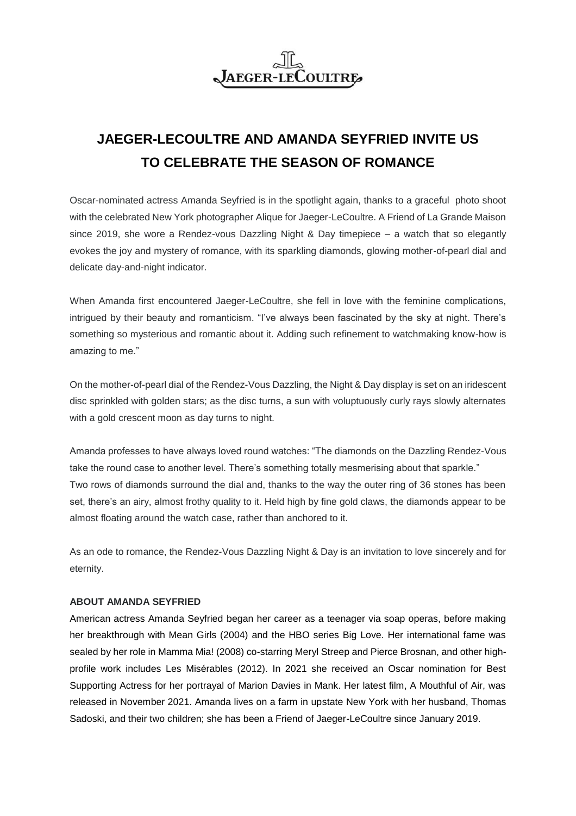## **JAEGER-LE COULTRE**

# **JAEGER-LECOULTRE AND AMANDA SEYFRIED INVITE US TO CELEBRATE THE SEASON OF ROMANCE**

Oscar-nominated actress Amanda Seyfried is in the spotlight again, thanks to a graceful photo shoot with the celebrated New York photographer Alique for Jaeger-LeCoultre. A Friend of La Grande Maison since 2019, she wore a Rendez-vous Dazzling Night & Day timepiece – a watch that so elegantly evokes the joy and mystery of romance, with its sparkling diamonds, glowing mother-of-pearl dial and delicate day-and-night indicator.

When Amanda first encountered Jaeger-LeCoultre, she fell in love with the feminine complications, intrigued by their beauty and romanticism. "I've always been fascinated by the sky at night. There's something so mysterious and romantic about it. Adding such refinement to watchmaking know-how is amazing to me."

On the mother-of-pearl dial of the Rendez-Vous Dazzling, the Night & Day display is set on an iridescent disc sprinkled with golden stars; as the disc turns, a sun with voluptuously curly rays slowly alternates with a gold crescent moon as day turns to night.

Amanda professes to have always loved round watches: "The diamonds on the Dazzling Rendez-Vous take the round case to another level. There's something totally mesmerising about that sparkle." Two rows of diamonds surround the dial and, thanks to the way the outer ring of 36 stones has been set, there's an airy, almost frothy quality to it. Held high by fine gold claws, the diamonds appear to be almost floating around the watch case, rather than anchored to it.

As an ode to romance, the Rendez-Vous Dazzling Night & Day is an invitation to love sincerely and for eternity.

## **ABOUT AMANDA SEYFRIED**

American actress Amanda Seyfried began her career as a teenager via soap operas, before making her breakthrough with Mean Girls (2004) and the HBO series Big Love. Her international fame was sealed by her role in Mamma Mia! (2008) co-starring Meryl Streep and Pierce Brosnan, and other highprofile work includes Les Misérables (2012). In 2021 she received an Oscar nomination for Best Supporting Actress for her portrayal of Marion Davies in Mank. Her latest film, A Mouthful of Air, was released in November 2021. Amanda lives on a farm in upstate New York with her husband, Thomas Sadoski, and their two children; she has been a Friend of Jaeger-LeCoultre since January 2019.